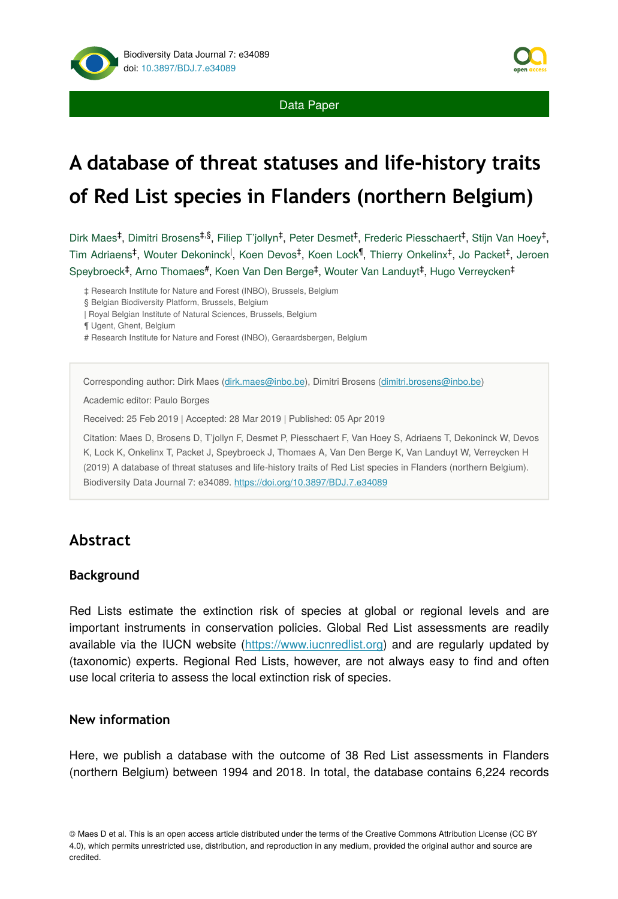

# **A database of threat statuses and life-history traits of Red List species in Flanders (northern Belgium)**

Dirk Maes<sup>‡</sup>, Dimitri Brosens<sup>‡,§</sup>, Filiep T'jollyn<sup>‡</sup>, Peter Desmet<sup>‡</sup>, Frederic Piesschaert<sup>‡</sup>, Stijn Van Hoey<sup>‡</sup>, Tim Adriaens<sup>‡</sup>, Wouter Dekoninck<sup>|</sup>, Koen Devos<sup>‡</sup>, Koen Lock<sup>¶</sup>, Thierry Onkelinx<sup>‡</sup>, Jo Packet<sup>‡</sup>, Jeroen Speybroeck<sup>‡</sup>, Arno Thomaes<sup>#</sup>, Koen Van Den Berge<sup>‡</sup>, Wouter Van Landuyt<sup>‡</sup>, Hugo Verreycken<sup>‡</sup>

‡ Research Institute for Nature and Forest (INBO), Brussels, Belgium

§ Belgian Biodiversity Platform, Brussels, Belgium

| Royal Belgian Institute of Natural Sciences, Brussels, Belgium

¶ Ugent, Ghent, Belgium

# Research Institute for Nature and Forest (INBO), Geraardsbergen, Belgium

Corresponding author: Dirk Maes [\(dirk.maes@inbo.be](mailto:dirk.maes@inbo.be)), Dimitri Brosens [\(dimitri.brosens@inbo.be\)](mailto:dimitri.brosens@inbo.be)

Academic editor: Paulo Borges

Received: 25 Feb 2019 | Accepted: 28 Mar 2019 | Published: 05 Apr 2019

Citation: Maes D, Brosens D, T'jollyn F, Desmet P, Piesschaert F, Van Hoey S, Adriaens T, Dekoninck W, Devos K, Lock K, Onkelinx T, Packet J, Speybroeck J, Thomaes A, Van Den Berge K, Van Landuyt W, Verreycken H (2019) A database of threat statuses and life-history traits of Red List species in Flanders (northern Belgium). Biodiversity Data Journal 7: e34089.<https://doi.org/10.3897/BDJ.7.e34089>

# **Abstract**

#### **Background**

Red Lists estimate the extinction risk of species at global or regional levels and are important instruments in conservation policies. Global Red List assessments are readily available via the IUCN website [\(https://www.iucnredlist.org\)](https://www.iucnredlist.org/) and are regularly updated by (taxonomic) experts. Regional Red Lists, however, are not always easy to find and often use local criteria to assess the local extinction risk of species.

#### **New information**

Here, we publish a database with the outcome of 38 Red List assessments in Flanders (northern Belgium) between 1994 and 2018. In total, the database contains 6,224 records

© Maes D et al. This is an open access article distributed under the terms of the Creative Commons Attribution License (CC BY 4.0), which permits unrestricted use, distribution, and reproduction in any medium, provided the original author and source are credited.

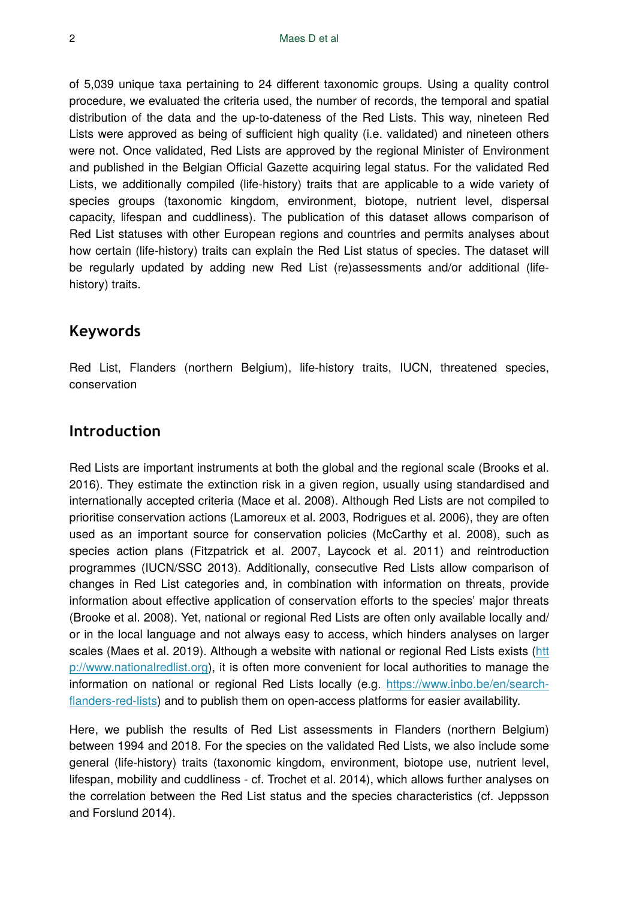of 5,039 unique taxa pertaining to 24 different taxonomic groups. Using a quality control procedure, we evaluated the criteria used, the number of records, the temporal and spatial distribution of the data and the up-to-dateness of the Red Lists. This way, nineteen Red Lists were approved as being of sufficient high quality (i.e. validated) and nineteen others were not. Once validated, Red Lists are approved by the regional Minister of Environment and published in the Belgian Official Gazette acquiring legal status. For the validated Red Lists, we additionally compiled (life-history) traits that are applicable to a wide variety of species groups (taxonomic kingdom, environment, biotope, nutrient level, dispersal capacity, lifespan and cuddliness). The publication of this dataset allows comparison of Red List statuses with other European regions and countries and permits analyses about how certain (life-history) traits can explain the Red List status of species. The dataset will be regularly updated by adding new Red List (re)assessments and/or additional (lifehistory) traits.

# **Keywords**

Red List, Flanders (northern Belgium), life-history traits, IUCN, threatened species, conservation

# **Introduction**

Red Lists are important instruments at both the global and the regional scale (Brooks et al. 2016). They estimate the extinction risk in a given region, usually using standardised and internationally accepted criteria (Mace et al. 2008). Although Red Lists are not compiled to prioritise conservation actions (Lamoreux et al. 2003, Rodrigues et al. 2006), they are often used as an important source for conservation policies (McCarthy et al. 2008), such as species action plans (Fitzpatrick et al. 2007, Laycock et al. 2011) and reintroduction programmes (IUCN/SSC 2013). Additionally, consecutive Red Lists allow comparison of changes in Red List categories and, in combination with information on threats, provide information about effective application of conservation efforts to the species' major threats (Brooke et al. 2008). Yet, national or regional Red Lists are often only available locally and/ or in the local language and not always easy to access, which hinders analyses on larger scales (Maes et al. 2019). Although a website with national or regional Red Lists exists [\(htt](http://www.nationalredlist.org/) [p://www.nationalredlist.org](http://www.nationalredlist.org/)), it is often more convenient for local authorities to manage the information on national or regional Red Lists locally (e.g. [https://www.inbo.be/en/search](https://www.inbo.be/en/search-flanders-red-lists)fl[anders-red-lists\)](https://www.inbo.be/en/search-flanders-red-lists) and to publish them on open-access platforms for easier availability.

Here, we publish the results of Red List assessments in Flanders (northern Belgium) between 1994 and 2018. For the species on the validated Red Lists, we also include some general (life-history) traits (taxonomic kingdom, environment, biotope use, nutrient level, lifespan, mobility and cuddliness - cf. Trochet et al. 2014), which allows further analyses on the correlation between the Red List status and the species characteristics (cf. Jeppsson and Forslund 2014).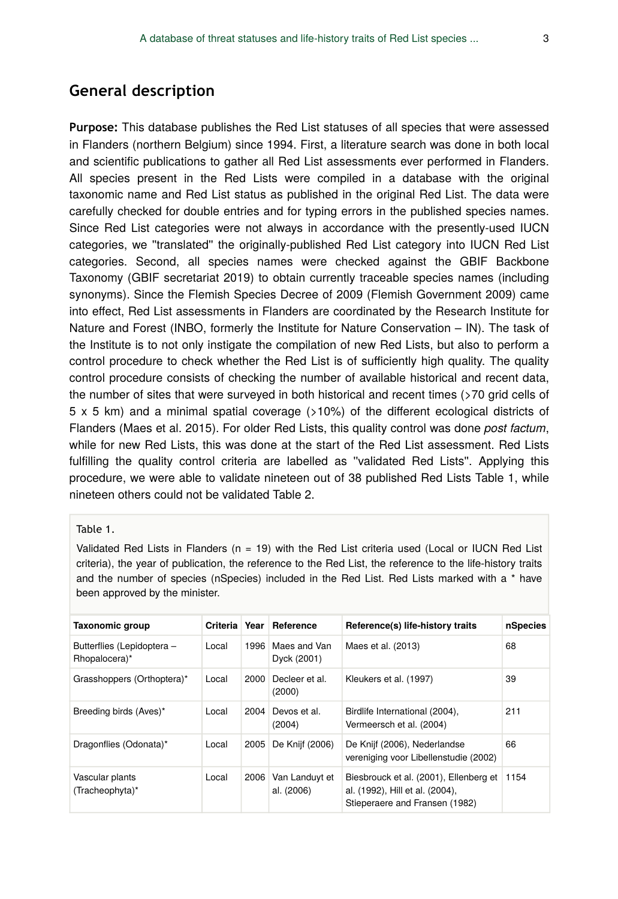# **General description**

**Purpose:** This database publishes the Red List statuses of all species that were assessed in Flanders (northern Belgium) since 1994. First, a literature search was done in both local and scientific publications to gather all Red List assessments ever performed in Flanders. All species present in the Red Lists were compiled in a database with the original taxonomic name and Red List status as published in the original Red List. The data were carefully checked for double entries and for typing errors in the published species names. Since Red List categories were not always in accordance with the presently-used IUCN categories, we ''translated'' the originally-published Red List category into IUCN Red List categories. Second, all species names were checked against the GBIF Backbone Taxonomy (GBIF secretariat 2019) to obtain currently traceable species names (including synonyms). Since the Flemish Species Decree of 2009 (Flemish Government 2009) came into effect, Red List assessments in Flanders are coordinated by the Research Institute for Nature and Forest (INBO, formerly the Institute for Nature Conservation – IN). The task of the Institute is to not only instigate the compilation of new Red Lists, but also to perform a control procedure to check whether the Red List is of sufficiently high quality. The quality control procedure consists of checking the number of available historical and recent data, the number of sites that were surveyed in both historical and recent times (>70 grid cells of 5 x 5 km) and a minimal spatial coverage (>10%) of the different ecological districts of Flanders (Maes et al. 2015). For older Red Lists, this quality control was done *post factum*, while for new Red Lists, this was done at the start of the Red List assessment. Red Lists fulfilling the quality control criteria are labelled as ''validated Red Lists''. Applying this procedure, we were able to validate nineteen out of 38 published Red Lists Table 1, while nineteen others could not be validated Table 2.

#### Table 1.

Validated Red Lists in Flanders (n = 19) with the Red List criteria used (Local or IUCN Red List criteria), the year of publication, the reference to the Red List, the reference to the life-history traits and the number of species (nSpecies) included in the Red List. Red Lists marked with a \* have been approved by the minister.

| <b>Taxonomic group</b>                      |       |      | Criteria   Year   Reference  | Reference(s) life-history traits                                                                            | nSpecies |
|---------------------------------------------|-------|------|------------------------------|-------------------------------------------------------------------------------------------------------------|----------|
| Butterflies (Lepidoptera -<br>Rhopalocera)* | Local | 1996 | Maes and Van<br>Dyck (2001)  | Maes et al. (2013)                                                                                          | 68       |
| Grasshoppers (Orthoptera)*                  | Local | 2000 | Decleer et al.<br>(2000)     | Kleukers et al. (1997)                                                                                      | 39       |
| Breeding birds (Aves)*                      | Local | 2004 | Devos et al.<br>(2004)       | Birdlife International (2004),<br>Vermeersch et al. (2004)                                                  | 211      |
| Dragonflies (Odonata)*                      | Local | 2005 | De Knijf (2006)              | De Knijf (2006), Nederlandse<br>vereniging voor Libellenstudie (2002)                                       | 66       |
| Vascular plants<br>(Tracheophyta)*          | Local | 2006 | Van Landuyt et<br>al. (2006) | Biesbrouck et al. (2001), Ellenberg et<br>al. (1992), Hill et al. (2004),<br>Stieperaere and Fransen (1982) | 1154     |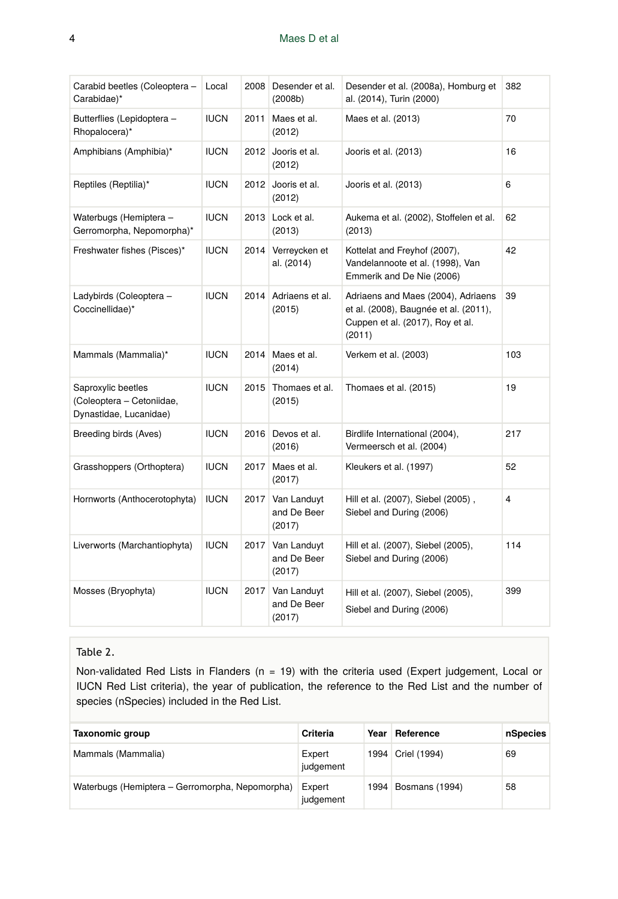| Carabid beetles (Coleoptera -<br>Carabidae)*                              | Local       | 2008 | Desender et al.<br>(2008b)           | Desender et al. (2008a), Homburg et<br>al. (2014), Turin (2000)                                                           | 382            |
|---------------------------------------------------------------------------|-------------|------|--------------------------------------|---------------------------------------------------------------------------------------------------------------------------|----------------|
| Butterflies (Lepidoptera -<br>Rhopalocera)*                               | <b>IUCN</b> | 2011 | Maes et al.<br>(2012)                | Maes et al. (2013)                                                                                                        | 70             |
| Amphibians (Amphibia)*                                                    | <b>IUCN</b> | 2012 | Jooris et al.<br>(2012)              | Jooris et al. (2013)                                                                                                      | 16             |
| Reptiles (Reptilia)*                                                      | <b>IUCN</b> | 2012 | Jooris et al.<br>(2012)              | Jooris et al. (2013)                                                                                                      | 6              |
| Waterbugs (Hemiptera -<br>Gerromorpha, Nepomorpha)*                       | <b>IUCN</b> | 2013 | Lock et al.<br>(2013)                | Aukema et al. (2002), Stoffelen et al.<br>(2013)                                                                          | 62             |
| Freshwater fishes (Pisces)*                                               | <b>IUCN</b> | 2014 | Verreycken et<br>al. (2014)          | Kottelat and Freyhof (2007),<br>Vandelannoote et al. (1998), Van<br>Emmerik and De Nie (2006)                             | 42             |
| Ladybirds (Coleoptera -<br>Coccinellidae)*                                | <b>IUCN</b> | 2014 | Adriaens et al.<br>(2015)            | Adriaens and Maes (2004), Adriaens<br>et al. (2008), Baugnée et al. (2011),<br>Cuppen et al. (2017), Roy et al.<br>(2011) | 39             |
| Mammals (Mammalia)*                                                       | <b>IUCN</b> |      | 2014 Maes et al.<br>(2014)           | Verkem et al. (2003)                                                                                                      | 103            |
| Saproxylic beetles<br>(Coleoptera - Cetoniidae,<br>Dynastidae, Lucanidae) | <b>IUCN</b> | 2015 | Thomaes et al.<br>(2015)             | Thomaes et al. (2015)                                                                                                     | 19             |
| Breeding birds (Aves)                                                     | <b>IUCN</b> | 2016 | Devos et al.<br>(2016)               | Birdlife International (2004),<br>Vermeersch et al. (2004)                                                                | 217            |
| Grasshoppers (Orthoptera)                                                 | <b>IUCN</b> | 2017 | Maes et al.<br>(2017)                | Kleukers et al. (1997)                                                                                                    | 52             |
| Hornworts (Anthocerotophyta)                                              | <b>IUCN</b> | 2017 | Van Landuyt<br>and De Beer<br>(2017) | Hill et al. (2007), Siebel (2005),<br>Siebel and During (2006)                                                            | $\overline{4}$ |
| Liverworts (Marchantiophyta)                                              | <b>IUCN</b> | 2017 | Van Landuyt<br>and De Beer<br>(2017) | Hill et al. (2007), Siebel (2005),<br>Siebel and During (2006)                                                            | 114            |
| Mosses (Bryophyta)                                                        | <b>IUCN</b> | 2017 | Van Landuyt<br>and De Beer<br>(2017) | Hill et al. (2007), Siebel (2005),<br>Siebel and During (2006)                                                            | 399            |

#### Table 2.

Non-validated Red Lists in Flanders (n = 19) with the criteria used (Expert judgement, Local or IUCN Red List criteria), the year of publication, the reference to the Red List and the number of species (nSpecies) included in the Red List.

| Taxonomic group                                 | Criteria            | Year | Reference           | nSpecies |
|-------------------------------------------------|---------------------|------|---------------------|----------|
| Mammals (Mammalia)                              | Expert<br>judgement |      | 1994   Criel (1994) | 69       |
| Waterbugs (Hemiptera – Gerromorpha, Nepomorpha) | Expert<br>judgement | 1994 | Bosmans (1994)      | 58       |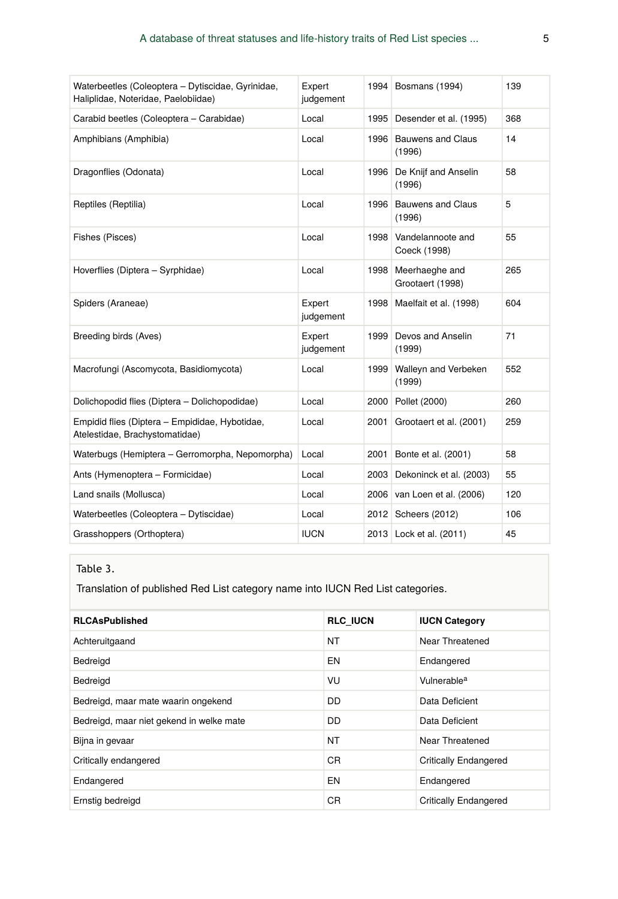| Waterbeetles (Coleoptera - Dytiscidae, Gyrinidae,<br>Haliplidae, Noteridae, Paelobiidae) | Expert<br>judgement | 1994 | Bosmans (1994)                     | 139 |
|------------------------------------------------------------------------------------------|---------------------|------|------------------------------------|-----|
| Carabid beetles (Coleoptera - Carabidae)                                                 | Local               | 1995 | Desender et al. (1995)             | 368 |
| Amphibians (Amphibia)                                                                    | Local               | 1996 | Bauwens and Claus<br>(1996)        | 14  |
| Dragonflies (Odonata)                                                                    | Local               | 1996 | De Knijf and Anselin<br>(1996)     | 58  |
| Reptiles (Reptilia)                                                                      | Local               | 1996 | <b>Bauwens and Claus</b><br>(1996) | 5   |
| Fishes (Pisces)                                                                          | Local               | 1998 | Vandelannoote and<br>Coeck (1998)  | 55  |
| Hoverflies (Diptera - Syrphidae)                                                         | Local               | 1998 | Meerhaeghe and<br>Grootaert (1998) | 265 |
| Spiders (Araneae)                                                                        | Expert<br>judgement | 1998 | Maelfait et al. (1998)             | 604 |
| Breeding birds (Aves)                                                                    | Expert<br>judgement | 1999 | Devos and Anselin<br>(1999)        | 71  |
| Macrofungi (Ascomycota, Basidiomycota)                                                   | Local               | 1999 | Walleyn and Verbeken<br>(1999)     | 552 |
| Dolichopodid flies (Diptera - Dolichopodidae)                                            | Local               | 2000 | Pollet (2000)                      | 260 |
| Empidid flies (Diptera - Empididae, Hybotidae,<br>Atelestidae, Brachystomatidae)         | Local               | 2001 | Grootaert et al. (2001)            | 259 |
| Waterbugs (Hemiptera - Gerromorpha, Nepomorpha)                                          | Local               | 2001 | Bonte et al. (2001)                | 58  |
| Ants (Hymenoptera - Formicidae)                                                          | Local               | 2003 | Dekoninck et al. (2003)            | 55  |
| Land snails (Mollusca)                                                                   | Local               | 2006 | van Loen et al. (2006)             | 120 |
| Waterbeetles (Coleoptera – Dytiscidae)                                                   | Local               | 2012 | Scheers (2012)                     | 106 |
| Grasshoppers (Orthoptera)                                                                | <b>IUCN</b>         | 2013 | Lock et al. (2011)                 | 45  |

#### Table 3.

Translation of published Red List category name into IUCN Red List categories.

| <b>RLCAsPublished</b>                    | <b>RLC IUCN</b> | <b>IUCN Category</b>         |
|------------------------------------------|-----------------|------------------------------|
| Achteruitgaand                           | <b>NT</b>       | Near Threatened              |
| Bedreigd                                 | EN              | Endangered                   |
| Bedreigd                                 | VU              | Vulnerable <sup>a</sup>      |
| Bedreigd, maar mate waarin ongekend      | DD.             | Data Deficient               |
| Bedreigd, maar niet gekend in welke mate | <b>DD</b>       | Data Deficient               |
| Bijna in gevaar                          | <b>NT</b>       | Near Threatened              |
| Critically endangered                    | C <sub>R</sub>  | <b>Critically Endangered</b> |
| Endangered                               | EN              | Endangered                   |
| Ernstig bedreigd                         | <b>CR</b>       | <b>Critically Endangered</b> |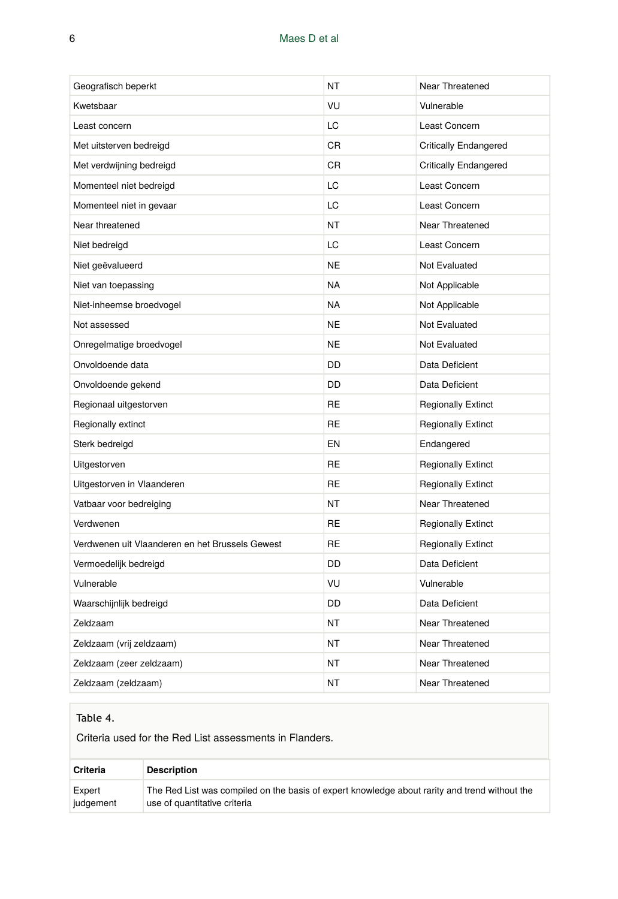| Geografisch beperkt                             | ΝT        | Near Threatened              |
|-------------------------------------------------|-----------|------------------------------|
| Kwetsbaar                                       | VU        | Vulnerable                   |
| Least concern                                   | LC.       | Least Concern                |
| Met uitsterven bedreigd                         | CR        | <b>Critically Endangered</b> |
| Met verdwijning bedreigd                        | CR        | <b>Critically Endangered</b> |
| Momenteel niet bedreigd                         | LC        | Least Concern                |
| Momenteel niet in gevaar                        | LC        | Least Concern                |
| Near threatened                                 | NT        | Near Threatened              |
| Niet bedreigd                                   | LC        | Least Concern                |
| Niet geëvalueerd                                | <b>NE</b> | Not Evaluated                |
| Niet van toepassing                             | <b>NA</b> | Not Applicable               |
| Niet-inheemse broedvogel                        | <b>NA</b> | Not Applicable               |
| Not assessed                                    | <b>NE</b> | Not Evaluated                |
| Onregelmatige broedvogel                        | <b>NE</b> | Not Evaluated                |
| Onvoldoende data                                | DD        | Data Deficient               |
| Onvoldoende gekend                              | DD        | Data Deficient               |
| Regionaal uitgestorven                          | <b>RE</b> | <b>Regionally Extinct</b>    |
| Regionally extinct                              | <b>RE</b> | <b>Regionally Extinct</b>    |
| Sterk bedreigd                                  | <b>EN</b> | Endangered                   |
| Uitgestorven                                    | RE        | <b>Regionally Extinct</b>    |
| Uitgestorven in Vlaanderen                      | <b>RE</b> | <b>Regionally Extinct</b>    |
| Vatbaar voor bedreiging                         | NT        | Near Threatened              |
| Verdwenen                                       | <b>RE</b> | <b>Regionally Extinct</b>    |
| Verdwenen uit Vlaanderen en het Brussels Gewest | <b>RE</b> | <b>Regionally Extinct</b>    |
| Vermoedelijk bedreigd                           | DD        | Data Deficient               |
| Vulnerable                                      | VU        | Vulnerable                   |
| Waarschijnlijk bedreigd                         | DD        | Data Deficient               |
| Zeldzaam                                        | <b>NT</b> | Near Threatened              |
| Zeldzaam (vrij zeldzaam)                        | <b>NT</b> | Near Threatened              |
| Zeldzaam (zeer zeldzaam)                        | NT        | Near Threatened              |
| Zeldzaam (zeldzaam)                             | <b>NT</b> | Near Threatened              |

#### Table 4.

Criteria used for the Red List assessments in Flanders.

| Criteria  | <b>Description</b>                                                                            |
|-----------|-----------------------------------------------------------------------------------------------|
| Expert    | The Red List was compiled on the basis of expert knowledge about rarity and trend without the |
| judgement | use of quantitative criteria                                                                  |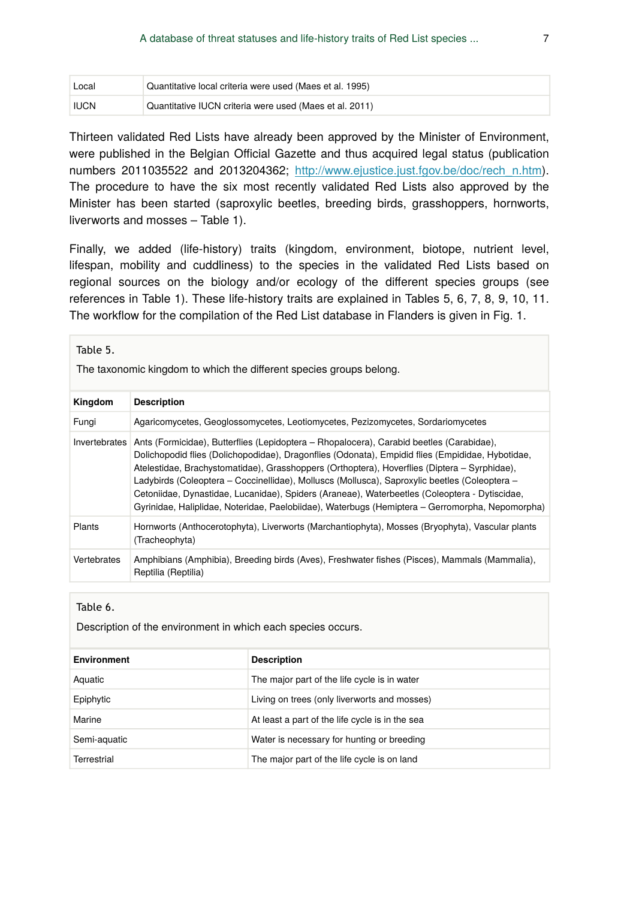| Local       | Quantitative local criteria were used (Maes et al. 1995) |
|-------------|----------------------------------------------------------|
| <b>IUCN</b> | Quantitative IUCN criteria were used (Maes et al. 2011)  |

Thirteen validated Red Lists have already been approved by the Minister of Environment, were published in the Belgian Official Gazette and thus acquired legal status (publication numbers 2011035522 and 2013204362; [http://www.ejustice.just.fgov.be/doc/rech\\_n.htm\)](http://www.ejustice.just.fgov.be/doc/rech_n.htm). The procedure to have the six most recently validated Red Lists also approved by the Minister has been started (saproxylic beetles, breeding birds, grasshoppers, hornworts, liverworts and mosses – Table 1).

Finally, we added (life-history) traits (kingdom, environment, biotope, nutrient level, lifespan, mobility and cuddliness) to the species in the validated Red Lists based on regional sources on the biology and/or ecology of the different species groups (see references in Table 1). These life-history traits are explained in Tables 5, 6, 7, 8, 9, 10, 11. The workflow for the compilation of the Red List database in Flanders is given in Fig. 1.

| Table 5.<br>The taxonomic kingdom to which the different species groups belong. |                                                                                                                                                                                                                                                                                                                                                                                                                                                                                                                                                                                                   |  |  |
|---------------------------------------------------------------------------------|---------------------------------------------------------------------------------------------------------------------------------------------------------------------------------------------------------------------------------------------------------------------------------------------------------------------------------------------------------------------------------------------------------------------------------------------------------------------------------------------------------------------------------------------------------------------------------------------------|--|--|
| Kingdom                                                                         | <b>Description</b>                                                                                                                                                                                                                                                                                                                                                                                                                                                                                                                                                                                |  |  |
| Fungi                                                                           | Agaricomycetes, Geoglossomycetes, Leotiomycetes, Pezizomycetes, Sordariomycetes                                                                                                                                                                                                                                                                                                                                                                                                                                                                                                                   |  |  |
| Invertebrates                                                                   | Ants (Formicidae), Butterflies (Lepidoptera – Rhopalocera), Carabid beetles (Carabidae),<br>Dolichopodid flies (Dolichopodidae), Dragonflies (Odonata), Empidid flies (Empididae, Hybotidae,<br>Atelestidae, Brachystomatidae), Grasshoppers (Orthoptera), Hoverflies (Diptera - Syrphidae),<br>Ladybirds (Coleoptera – Coccinellidae), Molluscs (Mollusca), Saproxylic beetles (Coleoptera –<br>Cetoniidae, Dynastidae, Lucanidae), Spiders (Araneae), Waterbeetles (Coleoptera - Dytiscidae,<br>Gyrinidae, Haliplidae, Noteridae, Paelobiidae), Waterbugs (Hemiptera – Gerromorpha, Nepomorpha) |  |  |
| Plants                                                                          | Hornworts (Anthocerotophyta), Liverworts (Marchantiophyta), Mosses (Bryophyta), Vascular plants<br>(Tracheophyta)                                                                                                                                                                                                                                                                                                                                                                                                                                                                                 |  |  |
| Vertebrates                                                                     | Amphibians (Amphibia), Breeding birds (Aves), Freshwater fishes (Pisces), Mammals (Mammalia),<br>Reptilia (Reptilia)                                                                                                                                                                                                                                                                                                                                                                                                                                                                              |  |  |

Table 6.

Description of the environment in which each species occurs.

| <b>Environment</b> | <b>Description</b>                              |
|--------------------|-------------------------------------------------|
| Aquatic            | The major part of the life cycle is in water    |
| Epiphytic          | Living on trees (only liverworts and mosses)    |
| Marine             | At least a part of the life cycle is in the sea |
| Semi-aquatic       | Water is necessary for hunting or breeding      |
| Terrestrial        | The major part of the life cycle is on land     |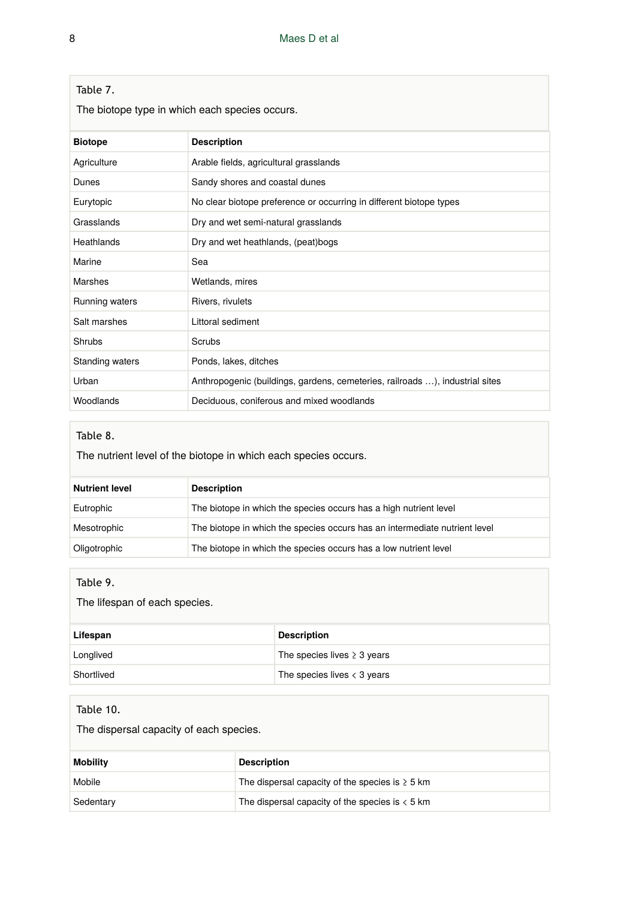|  |  | Table 7 |  |
|--|--|---------|--|
|--|--|---------|--|

The biotope type in which each species occurs.

| <b>Biotope</b>  | <b>Description</b>                                                           |
|-----------------|------------------------------------------------------------------------------|
| Agriculture     | Arable fields, agricultural grasslands                                       |
| Dunes           | Sandy shores and coastal dunes                                               |
| Eurytopic       | No clear biotope preference or occurring in different biotope types          |
| Grasslands      | Dry and wet semi-natural grasslands                                          |
| Heathlands      | Dry and wet heathlands, (peat)bogs                                           |
| Marine          | Sea                                                                          |
| Marshes         | Wetlands, mires                                                              |
| Running waters  | Rivers, rivulets                                                             |
| Salt marshes    | Littoral sediment                                                            |
| Shrubs          | Scrubs                                                                       |
| Standing waters | Ponds, lakes, ditches                                                        |
| Urban           | Anthropogenic (buildings, gardens, cemeteries, railroads ), industrial sites |
| Woodlands       | Deciduous, coniferous and mixed woodlands                                    |

#### Table 8.

The nutrient level of the biotope in which each species occurs.

| <b>Nutrient level</b> | <b>Description</b>                                                         |
|-----------------------|----------------------------------------------------------------------------|
| Eutrophic             | The biotope in which the species occurs has a high nutrient level          |
| Mesotrophic           | The biotope in which the species occurs has an intermediate nutrient level |
| Oligotrophic          | The biotope in which the species occurs has a low nutrient level           |

#### Table 9.

The lifespan of each species.

| Lifespan   | <b>Description</b>                          |
|------------|---------------------------------------------|
| Longlived  | The species lives $\geq$ 3 years            |
| Shortlived | The species lives $\langle 3 \rangle$ years |

### Table 10.

The dispersal capacity of each species.

| <b>Mobility</b> | <b>Description</b>                                   |
|-----------------|------------------------------------------------------|
| Mobile          | The dispersal capacity of the species is $\geq 5$ km |
| Sedentary       | The dispersal capacity of the species is $\lt 5$ km  |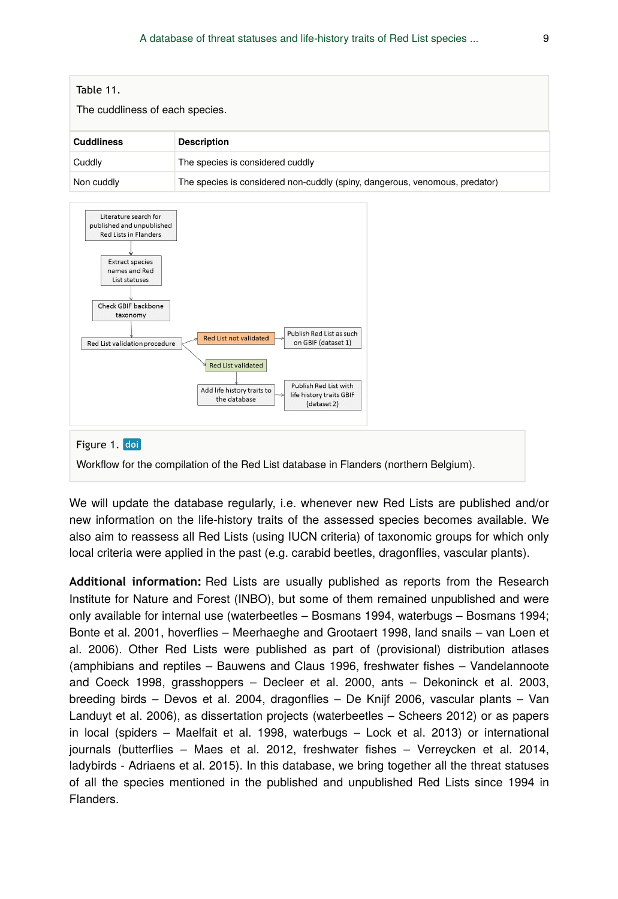

We will update the database regularly, i.e. whenever new Red Lists are published and/or new information on the life-history traits of the assessed species becomes available. We also aim to reassess all Red Lists (using IUCN criteria) of taxonomic groups for which only local criteria were applied in the past (e.g. carabid beetles, dragonflies, vascular plants).

**Additional information:** Red Lists are usually published as reports from the Research Institute for Nature and Forest (INBO), but some of them remained unpublished and were only available for internal use (waterbeetles – Bosmans 1994, waterbugs – Bosmans 1994; Bonte et al. 2001, hoverflies – Meerhaeghe and Grootaert 1998, land snails – van Loen et al. 2006). Other Red Lists were published as part of (provisional) distribution atlases (amphibians and reptiles – Bauwens and Claus 1996, freshwater fishes – Vandelannoote and Coeck 1998, grasshoppers – Decleer et al. 2000, ants – Dekoninck et al. 2003, breeding birds – Devos et al. 2004, dragonflies – De Knijf 2006, vascular plants – Van Landuyt et al. 2006), as dissertation projects (waterbeetles – Scheers 2012) or as papers in local (spiders – Maelfait et al. 1998, waterbugs – Lock et al. 2013) or international journals (butterflies – Maes et al. 2012, freshwater fishes – Verreycken et al. 2014, ladybirds - Adriaens et al. 2015). In this database, we bring together all the threat statuses of all the species mentioned in the published and unpublished Red Lists since 1994 in Flanders.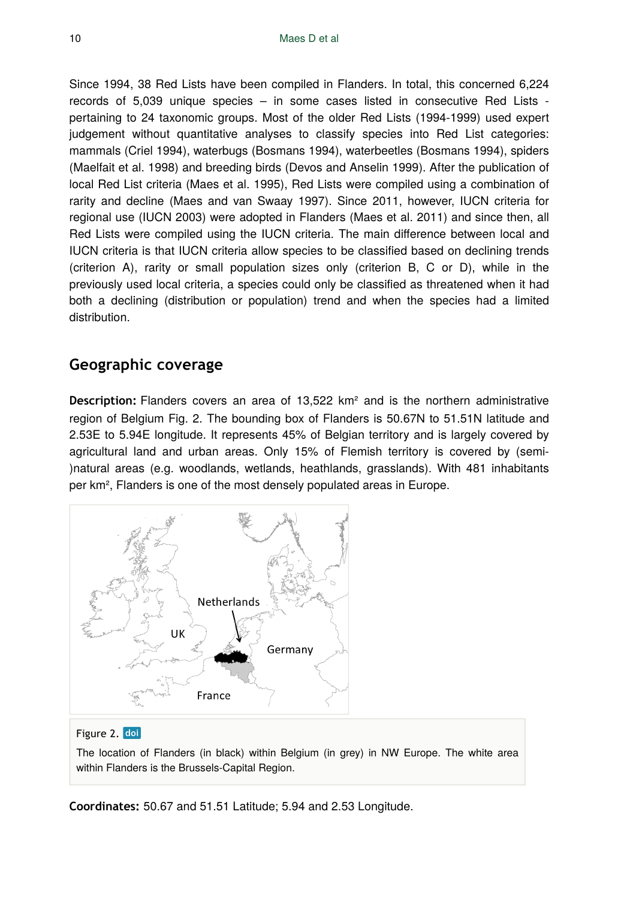Since 1994, 38 Red Lists have been compiled in Flanders. In total, this concerned 6,224 records of 5,039 unique species – in some cases listed in consecutive Red Lists pertaining to 24 taxonomic groups. Most of the older Red Lists (1994-1999) used expert judgement without quantitative analyses to classify species into Red List categories: mammals (Criel 1994), waterbugs (Bosmans 1994), waterbeetles (Bosmans 1994), spiders (Maelfait et al. 1998) and breeding birds (Devos and Anselin 1999). After the publication of local Red List criteria (Maes et al. 1995), Red Lists were compiled using a combination of rarity and decline (Maes and van Swaay 1997). Since 2011, however, IUCN criteria for regional use (IUCN 2003) were adopted in Flanders (Maes et al. 2011) and since then, all Red Lists were compiled using the IUCN criteria. The main difference between local and IUCN criteria is that IUCN criteria allow species to be classified based on declining trends (criterion A), rarity or small population sizes only (criterion B, C or D), while in the previously used local criteria, a species could only be classified as threatened when it had both a declining (distribution or population) trend and when the species had a limited distribution.

# **Geographic coverage**

**Description:** Flanders covers an area of 13,522 km² and is the northern administrative region of Belgium Fig. 2. The bounding box of Flanders is 50.67N to 51.51N latitude and 2.53E to 5.94E longitude. It represents 45% of Belgian territory and is largely covered by agricultural land and urban areas. Only 15% of Flemish territory is covered by (semi- )natural areas (e.g. woodlands, wetlands, heathlands, grasslands). With 481 inhabitants per km², Flanders is one of the most densely populated areas in Europe.



#### Figure 2. doi

The location of Flanders (in black) within Belgium (in grey) in NW Europe. The white area within Flanders is the Brussels-Capital Region.

**Coordinates:** 50.67 and 51.51 Latitude; 5.94 and 2.53 Longitude.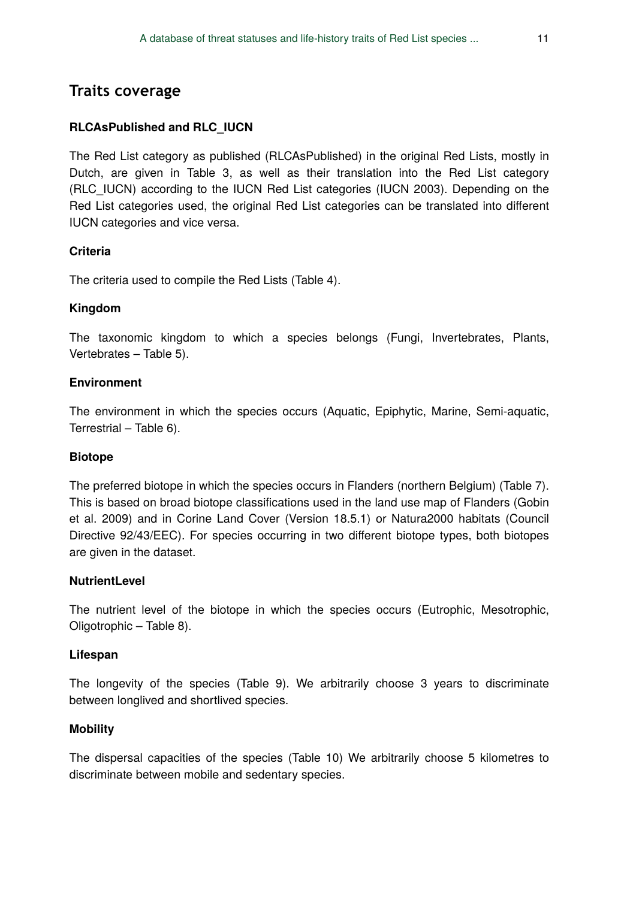#### **RLCAsPublished and RLC\_IUCN**

The Red List category as published (RLCAsPublished) in the original Red Lists, mostly in Dutch, are given in Table 3, as well as their translation into the Red List category (RLC\_IUCN) according to the IUCN Red List categories (IUCN 2003). Depending on the Red List categories used, the original Red List categories can be translated into different IUCN categories and vice versa.

#### **Criteria**

The criteria used to compile the Red Lists (Table 4).

#### **Kingdom**

The taxonomic kingdom to which a species belongs (Fungi, Invertebrates, Plants, Vertebrates – Table 5).

#### **Environment**

The environment in which the species occurs (Aquatic, Epiphytic, Marine, Semi-aquatic, Terrestrial – Table 6).

#### **Biotope**

The preferred biotope in which the species occurs in Flanders (northern Belgium) (Table 7). This is based on broad biotope classifications used in the land use map of Flanders (Gobin et al. 2009) and in Corine Land Cover (Version 18.5.1) or Natura2000 habitats (Council Directive 92/43/EEC). For species occurring in two different biotope types, both biotopes are given in the dataset.

#### **NutrientLevel**

The nutrient level of the biotope in which the species occurs (Eutrophic, Mesotrophic, Oligotrophic – Table 8).

#### **Lifespan**

The longevity of the species (Table 9). We arbitrarily choose 3 years to discriminate between longlived and shortlived species.

#### **Mobility**

The dispersal capacities of the species (Table 10) We arbitrarily choose 5 kilometres to discriminate between mobile and sedentary species.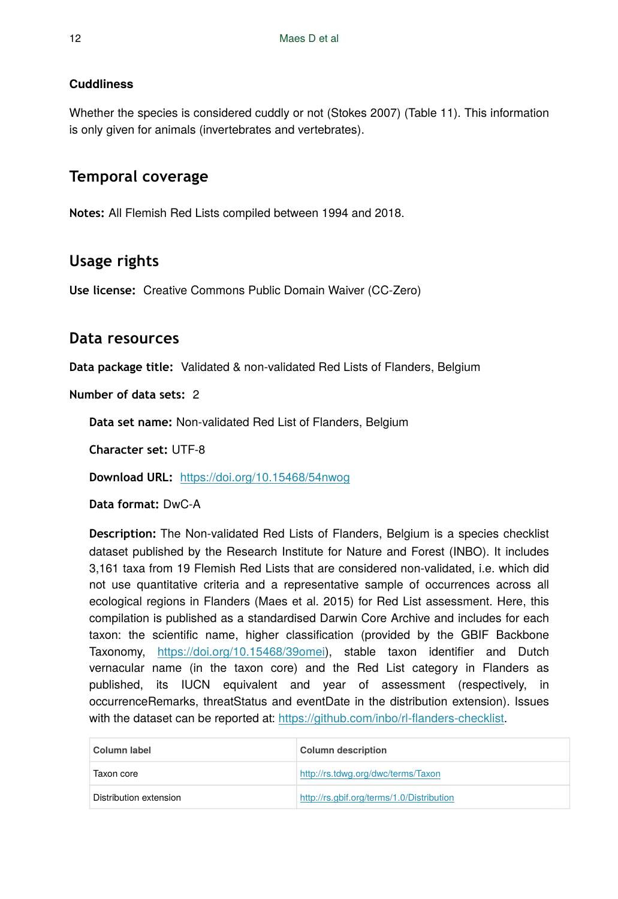#### **Cuddliness**

Whether the species is considered cuddly or not (Stokes 2007) (Table 11). This information is only given for animals (invertebrates and vertebrates).

# **Temporal coverage**

**Notes:** All Flemish Red Lists compiled between 1994 and 2018.

# **Usage rights**

**Use license:** Creative Commons Public Domain Waiver (CC-Zero)

## **Data resources**

**Data package title:** Validated & non-validated Red Lists of Flanders, Belgium

**Number of data sets:** 2

**Data set name:** Non-validated Red List of Flanders, Belgium

**Character set:** UTF-8

**Download URL:** <https://doi.org/10.15468/54nwog>

**Data format:** DwC-A

**Description:** The Non-validated Red Lists of Flanders, Belgium is a species checklist dataset published by the Research Institute for Nature and Forest (INBO). It includes 3,161 taxa from 19 Flemish Red Lists that are considered non-validated, i.e. which did not use quantitative criteria and a representative sample of occurrences across all ecological regions in Flanders (Maes et al. 2015) for Red List assessment. Here, this compilation is published as a standardised Darwin Core Archive and includes for each taxon: the scientific name, higher classification (provided by the GBIF Backbone Taxonomy, [https://doi.org/10.15468/39omei\)](https://doi.org/10.15468/39omei), stable taxon identifier and Dutch vernacular name (in the taxon core) and the Red List category in Flanders as published, its IUCN equivalent and year of assessment (respectively, in occurrenceRemarks, threatStatus and eventDate in the distribution extension). Issues with the dataset can be reported at: [https://github.com/inbo/rl-](https://github.com/inbo/rl-flanders-checklist)flanders-checklist.

| Column label           | <b>Column description</b>                 |
|------------------------|-------------------------------------------|
| Taxon core             | http://rs.tdwg.org/dwc/terms/Taxon        |
| Distribution extension | http://rs.gbif.org/terms/1.0/Distribution |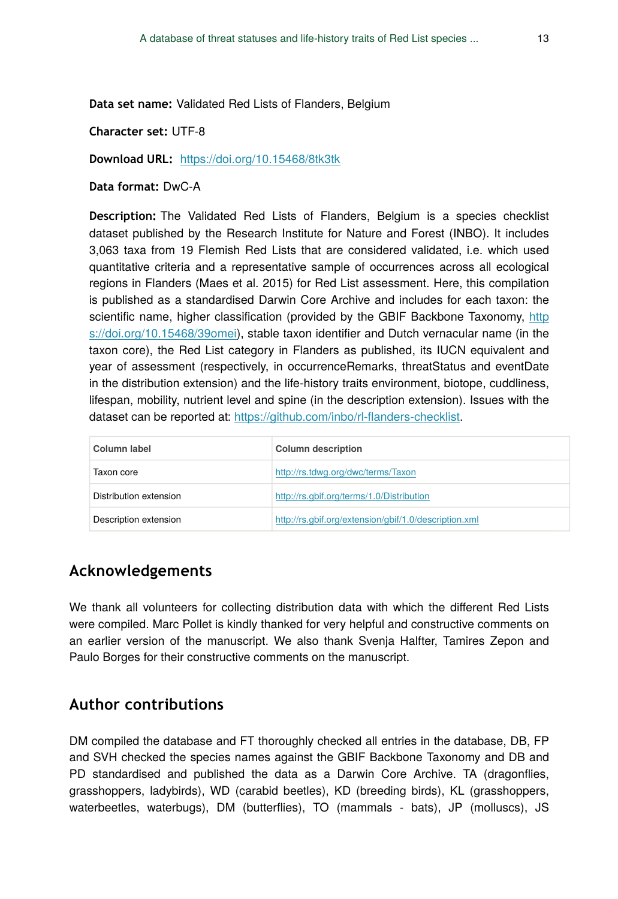**Data set name:** Validated Red Lists of Flanders, Belgium

**Character set:** UTF-8

**Download URL:** <https://doi.org/10.15468/8tk3tk>

**Data format:** DwC-A

**Description:** The Validated Red Lists of Flanders, Belgium is a species checklist dataset published by the Research Institute for Nature and Forest (INBO). It includes 3,063 taxa from 19 Flemish Red Lists that are considered validated, i.e. which used quantitative criteria and a representative sample of occurrences across all ecological regions in Flanders (Maes et al. 2015) for Red List assessment. Here, this compilation is published as a standardised Darwin Core Archive and includes for each taxon: the scientific name, higher classification (provided by the GBIF Backbone Taxonomy, [http](https://doi.org/10.15468/39omei) [s://doi.org/10.15468/39omei\)](https://doi.org/10.15468/39omei), stable taxon identifier and Dutch vernacular name (in the taxon core), the Red List category in Flanders as published, its IUCN equivalent and year of assessment (respectively, in occurrenceRemarks, threatStatus and eventDate in the distribution extension) and the life-history traits environment, biotope, cuddliness, lifespan, mobility, nutrient level and spine (in the description extension). Issues with the dataset can be reported at: [https://github.com/inbo/rl-](https://github.com/inbo/rl-flanders-checklist)flanders-checklist.

| Column label           | <b>Column description</b>                             |
|------------------------|-------------------------------------------------------|
| Taxon core             | http://rs.tdwg.org/dwc/terms/Taxon                    |
| Distribution extension | http://rs.gbif.org/terms/1.0/Distribution             |
| Description extension  | http://rs.gbif.org/extension/gbif/1.0/description.xml |

# **Acknowledgements**

We thank all volunteers for collecting distribution data with which the different Red Lists were compiled. Marc Pollet is kindly thanked for very helpful and constructive comments on an earlier version of the manuscript. We also thank Svenja Halfter, Tamires Zepon and Paulo Borges for their constructive comments on the manuscript.

# **Author contributions**

DM compiled the database and FT thoroughly checked all entries in the database, DB, FP and SVH checked the species names against the GBIF Backbone Taxonomy and DB and PD standardised and published the data as a Darwin Core Archive. TA (dragonflies, grasshoppers, ladybirds), WD (carabid beetles), KD (breeding birds), KL (grasshoppers, waterbeetles, waterbugs), DM (butterflies), TO (mammals - bats), JP (molluscs), JS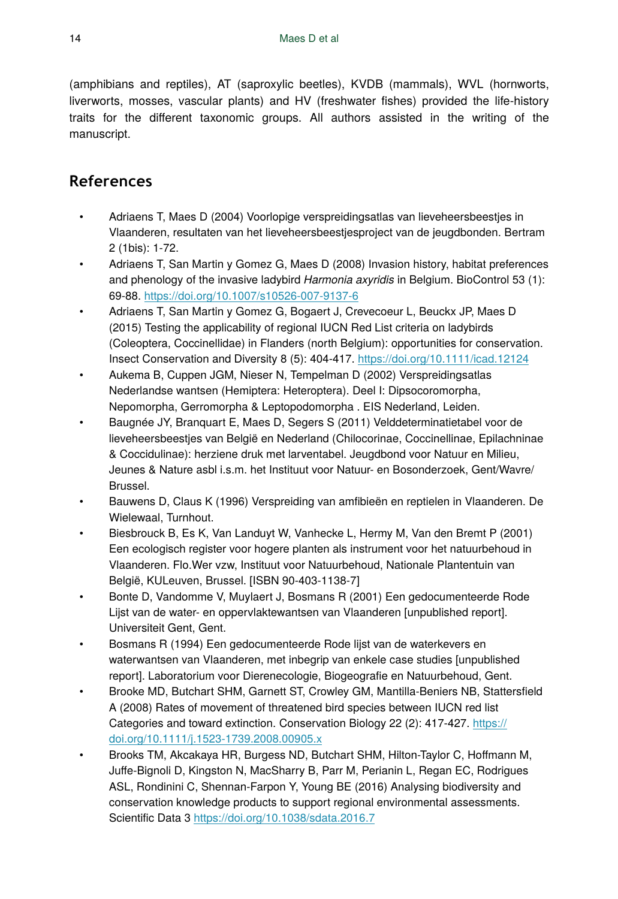(amphibians and reptiles), AT (saproxylic beetles), KVDB (mammals), WVL (hornworts, liverworts, mosses, vascular plants) and HV (freshwater fishes) provided the life-history traits for the different taxonomic groups. All authors assisted in the writing of the manuscript.

# **References**

- Adriaens T, Maes D (2004) Voorlopige verspreidingsatlas van lieveheersbeestjes in Vlaanderen, resultaten van het lieveheersbeestjesproject van de jeugdbonden. Bertram 2 (1bis): 1‑72.
- Adriaens T, San Martin y Gomez G, Maes D (2008) Invasion history, habitat preferences and phenology of the invasive ladybird *Harmonia axyridis* in Belgium. BioControl 53 (1): 69‑88.<https://doi.org/10.1007/s10526-007-9137-6>
- Adriaens T, San Martin y Gomez G, Bogaert J, Crevecoeur L, Beuckx JP, Maes D (2015) Testing the applicability of regional IUCN Red List criteria on ladybirds (Coleoptera, Coccinellidae) in Flanders (north Belgium): opportunities for conservation. Insect Conservation and Diversity 8 (5): 404‑417. <https://doi.org/10.1111/icad.12124>
- Aukema B, Cuppen JGM, Nieser N, Tempelman D (2002) Verspreidingsatlas Nederlandse wantsen (Hemiptera: Heteroptera). Deel I: Dipsocoromorpha, Nepomorpha, Gerromorpha & Leptopodomorpha . EIS Nederland, Leiden.
- Baugnée JY, Branquart E, Maes D, Segers S (2011) Velddeterminatietabel voor de lieveheersbeestjes van België en Nederland (Chilocorinae, Coccinellinae, Epilachninae & Coccidulinae): herziene druk met larventabel. Jeugdbond voor Natuur en Milieu, Jeunes & Nature asbl i.s.m. het Instituut voor Natuur- en Bosonderzoek, Gent/Wavre/ Brussel.
- Bauwens D, Claus K (1996) Verspreiding van amfibieën en reptielen in Vlaanderen. De Wielewaal, Turnhout.
- Biesbrouck B, Es K, Van Landuyt W, Vanhecke L, Hermy M, Van den Bremt P (2001) Een ecologisch register voor hogere planten als instrument voor het natuurbehoud in Vlaanderen. Flo.Wer vzw, Instituut voor Natuurbehoud, Nationale Plantentuin van België, KULeuven, Brussel. [ISBN 90-403-1138-7]
- Bonte D, Vandomme V, Muylaert J, Bosmans R (2001) Een gedocumenteerde Rode Lijst van de water- en oppervlaktewantsen van Vlaanderen [unpublished report]. Universiteit Gent, Gent.
- Bosmans R (1994) Een gedocumenteerde Rode lijst van de waterkevers en waterwantsen van Vlaanderen, met inbegrip van enkele case studies [unpublished report]. Laboratorium voor Dierenecologie, Biogeografie en Natuurbehoud, Gent.
- Brooke MD, Butchart SHM, Garnett ST, Crowley GM, Mantilla-Beniers NB, Stattersfield A (2008) Rates of movement of threatened bird species between IUCN red list Categories and toward extinction. Conservation Biology 22 (2): 417-427. [https://](https://doi.org/10.1111/j.1523-1739.2008.00905.x) [doi.org/10.1111/j.1523-1739.2008.00905.x](https://doi.org/10.1111/j.1523-1739.2008.00905.x)
- Brooks TM, Akcakaya HR, Burgess ND, Butchart SHM, Hilton-Taylor C, Hoffmann M, Juffe-Bignoli D, Kingston N, MacSharry B, Parr M, Perianin L, Regan EC, Rodrigues ASL, Rondinini C, Shennan-Farpon Y, Young BE (2016) Analysing biodiversity and conservation knowledge products to support regional environmental assessments. Scientific Data 3 <https://doi.org/10.1038/sdata.2016.7>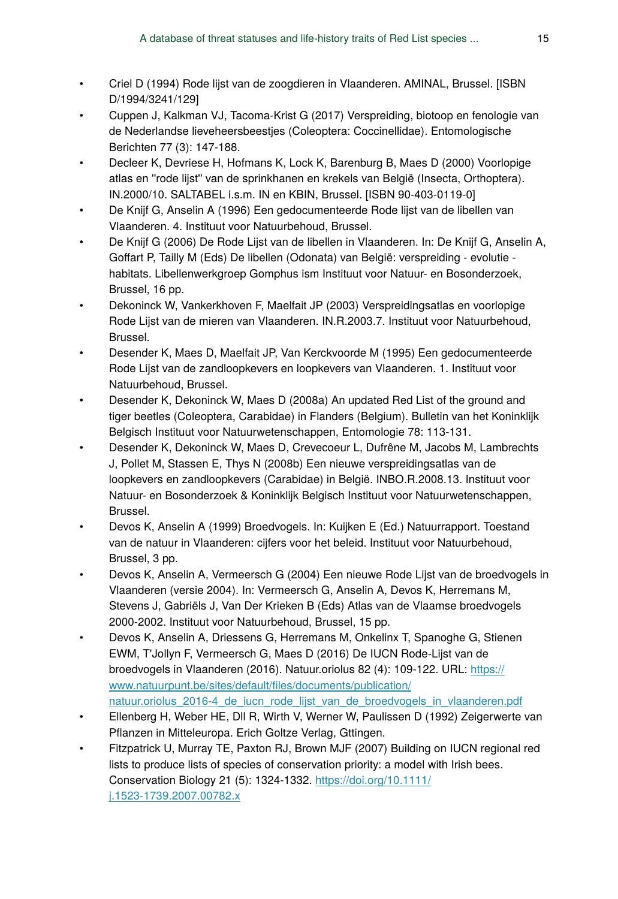- Criel D (1994) Rode lijst van de zoogdieren in Vlaanderen. AMINAL, Brussel. [ISBN D/1994/3241/129]
- Cuppen J, Kalkman VJ, Tacoma-Krist G (2017) Verspreiding, biotoop en fenologie van de Nederlandse lieveheersbeestjes (Coleoptera: Coccinellidae). Entomologische Berichten 77 (3): 147‑188.
- Decleer K, Devriese H, Hofmans K, Lock K, Barenburg B, Maes D (2000) Voorlopige atlas en ''rode lijst'' van de sprinkhanen en krekels van België (Insecta, Orthoptera). IN.2000/10. SALTABEL i.s.m. IN en KBIN, Brussel. [ISBN 90-403-0119-0]
- De Knijf G, Anselin A (1996) Een gedocumenteerde Rode lijst van de libellen van Vlaanderen. 4. Instituut voor Natuurbehoud, Brussel.
- De Knijf G (2006) De Rode Lijst van de libellen in Vlaanderen. In: De Knijf G, Anselin A, Goffart P, Tailly M (Eds) De libellen (Odonata) van België: verspreiding - evolutie habitats. Libellenwerkgroep Gomphus ism Instituut voor Natuur- en Bosonderzoek, Brussel, 16 pp.
- Dekoninck W, Vankerkhoven F, Maelfait JP (2003) Verspreidingsatlas en voorlopige Rode Lijst van de mieren van Vlaanderen. IN.R.2003.7. Instituut voor Natuurbehoud, Brussel.
- Desender K, Maes D, Maelfait JP, Van Kerckvoorde M (1995) Een gedocumenteerde Rode Lijst van de zandloopkevers en loopkevers van Vlaanderen. 1. Instituut voor Natuurbehoud, Brussel.
- Desender K, Dekoninck W, Maes D (2008a) An updated Red List of the ground and tiger beetles (Coleoptera, Carabidae) in Flanders (Belgium). Bulletin van het Koninklijk Belgisch Instituut voor Natuurwetenschappen, Entomologie 78: 113‑131.
- Desender K, Dekoninck W, Maes D, Crevecoeur L, Dufrêne M, Jacobs M, Lambrechts J, Pollet M, Stassen E, Thys N (2008b) Een nieuwe verspreidingsatlas van de loopkevers en zandloopkevers (Carabidae) in België. INBO.R.2008.13. Instituut voor Natuur- en Bosonderzoek & Koninklijk Belgisch Instituut voor Natuurwetenschappen, Brussel.
- Devos K, Anselin A (1999) Broedvogels. In: Kuijken E (Ed.) Natuurrapport. Toestand van de natuur in Vlaanderen: cijfers voor het beleid. Instituut voor Natuurbehoud, Brussel, 3 pp.
- Devos K, Anselin A, Vermeersch G (2004) Een nieuwe Rode Lijst van de broedvogels in Vlaanderen (versie 2004). In: Vermeersch G, Anselin A, Devos K, Herremans M, Stevens J, Gabriëls J, Van Der Krieken B (Eds) Atlas van de Vlaamse broedvogels 2000-2002. Instituut voor Natuurbehoud, Brussel, 15 pp.
- Devos K, Anselin A, Driessens G, Herremans M, Onkelinx T, Spanoghe G, Stienen EWM, T'Jollyn F, Vermeersch G, Maes D (2016) De IUCN Rode-Lijst van de broedvogels in Vlaanderen (2016). Natuur.oriolus 82 (4): 109-122. URL: [https://](https://www.natuurpunt.be/sites/default/files/documents/publication/natuur.oriolus_2016-4_de_iucn_rode_lijst_van_de_broedvogels_in_vlaanderen.pdf) [www.natuurpunt.be/sites/default/](https://www.natuurpunt.be/sites/default/files/documents/publication/natuur.oriolus_2016-4_de_iucn_rode_lijst_van_de_broedvogels_in_vlaanderen.pdf)files/documents/publication/ natuur.oriolus 2016-4 de iucn rode lijst van de broedvogels in vlaanderen.pdf
- Ellenberg H, Weber HE, Dll R, Wirth V, Werner W, Paulissen D (1992) Zeigerwerte van Pflanzen in Mitteleuropa. Erich Goltze Verlag, Gttingen.
- Fitzpatrick U, Murray TE, Paxton RJ, Brown MJF (2007) Building on IUCN regional red lists to produce lists of species of conservation priority: a model with Irish bees. Conservation Biology 21 (5): 1324‑1332. [https://doi.org/10.1111/](https://doi.org/10.1111/j.1523-1739.2007.00782.x) [j.1523-1739.2007.00782.x](https://doi.org/10.1111/j.1523-1739.2007.00782.x)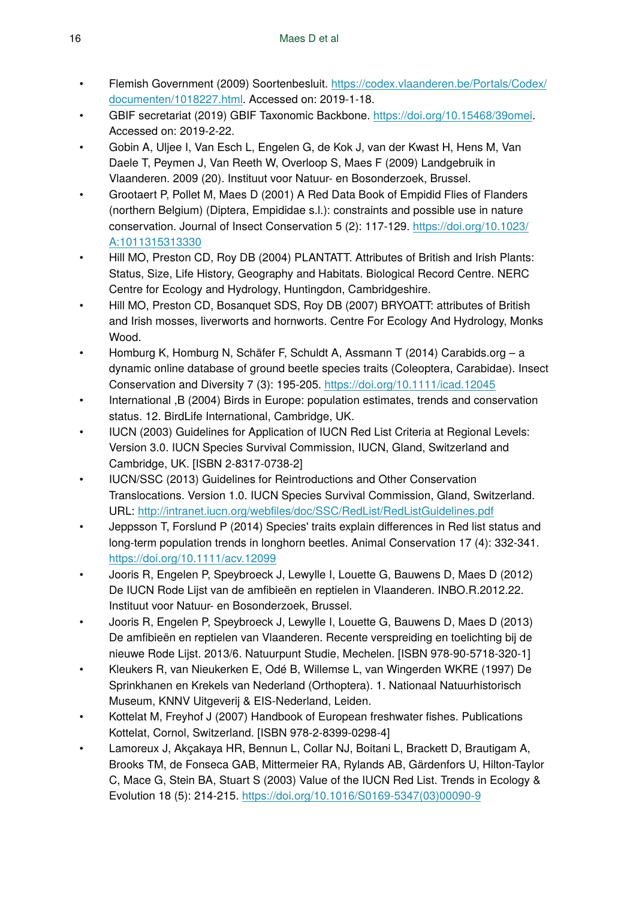- Flemish Government (2009) Soortenbesluit. [https://codex.vlaanderen.be/Portals/Codex/](https://codex.vlaanderen.be/Portals/Codex/documenten/1018227.html) [documenten/1018227.html.](https://codex.vlaanderen.be/Portals/Codex/documenten/1018227.html) Accessed on: 2019-1-18.
- GBIF secretariat (2019) GBIF Taxonomic Backbone. [https://doi.org/10.15468/39omei.](https://doi.org/10.15468/39omei) Accessed on: 2019-2-22.
- Gobin A, Uljee I, Van Esch L, Engelen G, de Kok J, van der Kwast H, Hens M, Van Daele T, Peymen J, Van Reeth W, Overloop S, Maes F (2009) Landgebruik in Vlaanderen. 2009 (20). Instituut voor Natuur- en Bosonderzoek, Brussel.
- Grootaert P, Pollet M, Maes D (2001) A Red Data Book of Empidid Flies of Flanders (northern Belgium) (Diptera, Empididae s.l.): constraints and possible use in nature conservation. Journal of Insect Conservation 5 (2): 117‑129. [https://doi.org/10.1023/](https://doi.org/10.1023/A:1011315313330) [A:1011315313330](https://doi.org/10.1023/A:1011315313330)
- Hill MO, Preston CD, Roy DB (2004) PLANTATT. Attributes of British and Irish Plants: Status, Size, Life History, Geography and Habitats. Biological Record Centre. NERC Centre for Ecology and Hydrology, Huntingdon, Cambridgeshire.
- Hill MO, Preston CD, Bosanquet SDS, Roy DB (2007) BRYOATT: attributes of British and Irish mosses, liverworts and hornworts. Centre For Ecology And Hydrology, Monks Wood.
- Homburg K, Homburg N, Schäfer F, Schuldt A, Assmann T (2014) Carabids.org a dynamic online database of ground beetle species traits (Coleoptera, Carabidae). Insect Conservation and Diversity 7 (3): 195‑205.<https://doi.org/10.1111/icad.12045>
- International ,B (2004) Birds in Europe: population estimates, trends and conservation status. 12. BirdLife International, Cambridge, UK.
- IUCN (2003) Guidelines for Application of IUCN Red List Criteria at Regional Levels: Version 3.0. IUCN Species Survival Commission, IUCN, Gland, Switzerland and Cambridge, UK. [ISBN 2-8317-0738-2]
- IUCN/SSC (2013) Guidelines for Reintroductions and Other Conservation Translocations. Version 1.0. IUCN Species Survival Commission, Gland, Switzerland. URL: http://intranet.iucn.org/webfi[les/doc/SSC/RedList/RedListGuidelines.pdf](http://intranet.iucn.org/webfiles/doc/SSC/RedList/RedListGuidelines.pdf)
- Jeppsson T, Forslund P (2014) Species' traits explain differences in Red list status and long-term population trends in longhorn beetles. Animal Conservation 17 (4): 332‑341. <https://doi.org/10.1111/acv.12099>
- Jooris R, Engelen P, Speybroeck J, Lewylle I, Louette G, Bauwens D, Maes D (2012) De IUCN Rode Lijst van de amfibieën en reptielen in Vlaanderen. INBO.R.2012.22. Instituut voor Natuur- en Bosonderzoek, Brussel.
- Jooris R, Engelen P, Speybroeck J, Lewylle I, Louette G, Bauwens D, Maes D (2013) De amfibieën en reptielen van Vlaanderen. Recente verspreiding en toelichting bij de nieuwe Rode Lijst. 2013/6. Natuurpunt Studie, Mechelen. [ISBN 978-90-5718-320-1]
- Kleukers R, van Nieukerken E, Odé B, Willemse L, van Wingerden WKRE (1997) De Sprinkhanen en Krekels van Nederland (Orthoptera). 1. Nationaal Natuurhistorisch Museum, KNNV Uitgeverij & EIS-Nederland, Leiden.
- Kottelat M, Freyhof J (2007) Handbook of European freshwater fishes. Publications Kottelat, Cornol, Switzerland, IISBN 978-2-8399-0298-41
- Lamoreux J, Akçakaya HR, Bennun L, Collar NJ, Boitani L, Brackett D, Brautigam A, Brooks TM, de Fonseca GAB, Mittermeier RA, Rylands AB, Gärdenfors U, Hilton-Taylor C, Mace G, Stein BA, Stuart S (2003) Value of the IUCN Red List. Trends in Ecology & Evolution 18 (5): 214‑215. [https://doi.org/10.1016/S0169-5347\(03\)00090-9](https://doi.org/10.1016/S0169-5347(03)00090-9)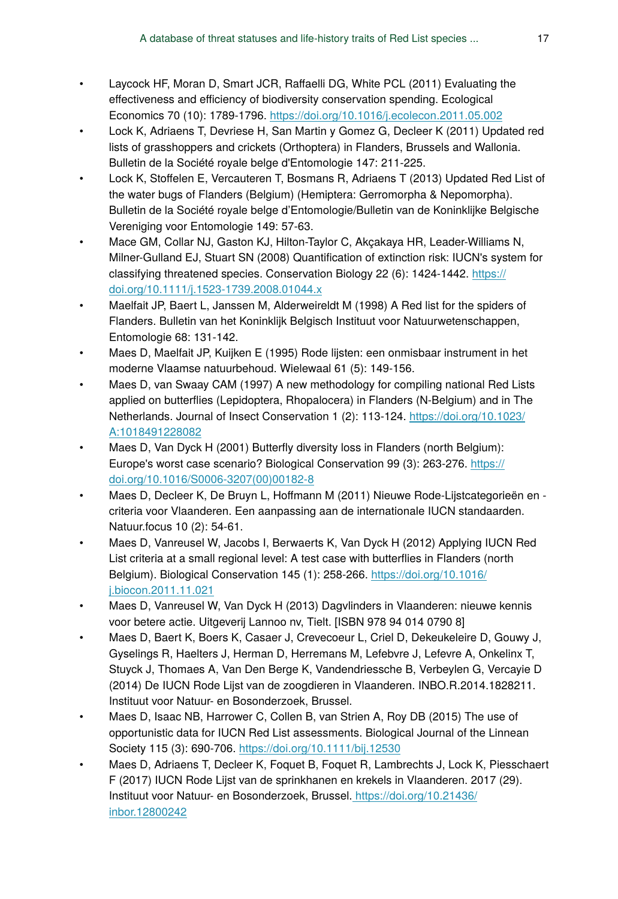- Laycock HF, Moran D, Smart JCR, Raffaelli DG, White PCL (2011) Evaluating the effectiveness and efficiency of biodiversity conservation spending. Ecological Economics 70 (10): 1789‑1796.<https://doi.org/10.1016/j.ecolecon.2011.05.002>
- Lock K, Adriaens T, Devriese H, San Martin y Gomez G, Decleer K (2011) Updated red lists of grasshoppers and crickets (Orthoptera) in Flanders, Brussels and Wallonia. Bulletin de la Société royale belge d'Entomologie 147: 211‑225.
- Lock K, Stoffelen E, Vercauteren T, Bosmans R, Adriaens T (2013) Updated Red List of the water bugs of Flanders (Belgium) (Hemiptera: Gerromorpha & Nepomorpha). Bulletin de la Société royale belge d'Entomologie/Bulletin van de Koninklijke Belgische Vereniging voor Entomologie 149: 57‑63.
- Mace GM, Collar NJ, Gaston KJ, Hilton-Taylor C, Akçakaya HR, Leader-Williams N, Milner-Gulland EJ, Stuart SN (2008) Quantification of extinction risk: IUCN's system for classifying threatened species. Conservation Biology 22 (6): 1424‑1442. [https://](https://doi.org/10.1111/j.1523-1739.2008.01044.x) [doi.org/10.1111/j.1523-1739.2008.01044.x](https://doi.org/10.1111/j.1523-1739.2008.01044.x)
- Maelfait JP, Baert L, Janssen M, Alderweireldt M (1998) A Red list for the spiders of Flanders. Bulletin van het Koninklijk Belgisch Instituut voor Natuurwetenschappen, Entomologie 68: 131‑142.
- Maes D, Maelfait JP, Kuijken E (1995) Rode lijsten: een onmisbaar instrument in het moderne Vlaamse natuurbehoud. Wielewaal 61 (5): 149‑156.
- Maes D, van Swaay CAM (1997) A new methodology for compiling national Red Lists applied on butterflies (Lepidoptera, Rhopalocera) in Flanders (N-Belgium) and in The Netherlands. Journal of Insect Conservation 1 (2): 113‑124. [https://doi.org/10.1023/](https://doi.org/10.1023/A:1018491228082) [A:1018491228082](https://doi.org/10.1023/A:1018491228082)
- Maes D, Van Dyck H (2001) Butterfly diversity loss in Flanders (north Belgium): Europe's worst case scenario? Biological Conservation 99 (3): 263‑276. [https://](https://doi.org/10.1016/S0006-3207(00)00182-8) [doi.org/10.1016/S0006-3207\(00\)00182-8](https://doi.org/10.1016/S0006-3207(00)00182-8)
- Maes D, Decleer K, De Bruyn L, Hoffmann M (2011) Nieuwe Rode-Lijstcategorieën en criteria voor Vlaanderen. Een aanpassing aan de internationale IUCN standaarden. Natuur.focus 10 (2): 54‑61.
- Maes D, Vanreusel W, Jacobs I, Berwaerts K, Van Dyck H (2012) Applying IUCN Red List criteria at a small regional level: A test case with butterflies in Flanders (north Belgium). Biological Conservation 145 (1): 258‑266. [https://doi.org/10.1016/](https://doi.org/10.1016/j.biocon.2011.11.021) [j.biocon.2011.11.021](https://doi.org/10.1016/j.biocon.2011.11.021)
- Maes D, Vanreusel W, Van Dyck H (2013) Dagvlinders in Vlaanderen: nieuwe kennis voor betere actie. Uitgeverij Lannoo nv, Tielt. [ISBN 978 94 014 0790 8]
- Maes D, Baert K, Boers K, Casaer J, Crevecoeur L, Criel D, Dekeukeleire D, Gouwy J, Gyselings R, Haelters J, Herman D, Herremans M, Lefebvre J, Lefevre A, Onkelinx T, Stuyck J, Thomaes A, Van Den Berge K, Vandendriessche B, Verbeylen G, Vercayie D (2014) De IUCN Rode Lijst van de zoogdieren in Vlaanderen. INBO.R.2014.1828211. Instituut voor Natuur- en Bosonderzoek, Brussel.
- Maes D, Isaac NB, Harrower C, Collen B, van Strien A, Roy DB (2015) The use of opportunistic data for IUCN Red List assessments. Biological Journal of the Linnean Society 115 (3): 690-706. <https://doi.org/10.1111/bij.12530>
- Maes D, Adriaens T, Decleer K, Foquet B, Foquet R, Lambrechts J, Lock K, Piesschaert F (2017) IUCN Rode Lijst van de sprinkhanen en krekels in Vlaanderen. 2017 (29). Instituut voor Natuur- en Bosonderzoek, Brussel[. https://doi.org/10.21436/](https://doi.org/10.21436/inbor.12800242) [inbor.12800242](https://doi.org/10.21436/inbor.12800242)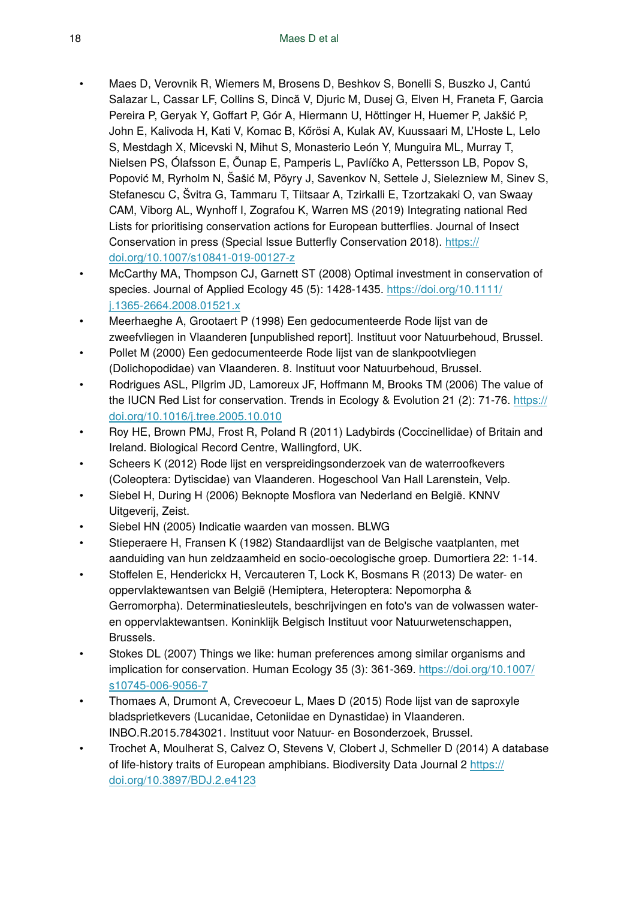- Maes D, Verovnik R, Wiemers M, Brosens D, Beshkov S, Bonelli S, Buszko J, Cantú Salazar L, Cassar LF, Collins S, Dincă V, Djuric M, Dusej G, Elven H, Franeta F, Garcia Pereira P, Geryak Y, Goffart P, Gór A, Hiermann U, Höttinger H, Huemer P, Jakšić P, John E, Kalivoda H, Kati V, Komac B, Kőrösi A, Kulak AV, Kuussaari M, L'Hoste L, Lelo S, Mestdagh X, Micevski N, Mihut S, Monasterio León Y, Munguira ML, Murray T, Nielsen PS, Ólafsson E, Õunap E, Pamperis L, Pavlíčko A, Pettersson LB, Popov S, Popović M, Ryrholm N, Šašić M, Pöyry J, Savenkov N, Settele J, Sielezniew M, Sinev S, Stefanescu C, Švitra G, Tammaru T, Tiitsaar A, Tzirkalli E, Tzortzakaki O, van Swaay CAM, Viborg AL, Wynhoff I, Zografou K, Warren MS (2019) Integrating national Red Lists for prioritising conservation actions for European butterflies. Journal of Insect Conservation in press (Special Issue Butterfly Conservation 2018). [https://](https://doi.org/10.1007/s10841-019-00127-z) [doi.org/10.1007/s10841-019-00127-z](https://doi.org/10.1007/s10841-019-00127-z)
- McCarthy MA, Thompson CJ, Garnett ST (2008) Optimal investment in conservation of species. Journal of Applied Ecology 45 (5): 1428-1435. [https://doi.org/10.1111/](https://doi.org/10.1111/j.1365-2664.2008.01521.x) [j.1365-2664.2008.01521.x](https://doi.org/10.1111/j.1365-2664.2008.01521.x)
- Meerhaeghe A, Grootaert P (1998) Een gedocumenteerde Rode lijst van de zweefvliegen in Vlaanderen [unpublished report]. Instituut voor Natuurbehoud, Brussel.
- Pollet M (2000) Een gedocumenteerde Rode lijst van de slankpootvliegen (Dolichopodidae) van Vlaanderen. 8. Instituut voor Natuurbehoud, Brussel.
- Rodrigues ASL, Pilgrim JD, Lamoreux JF, Hoffmann M, Brooks TM (2006) The value of the IUCN Red List for conservation. Trends in Ecology & Evolution 21 (2): 71-76. [https://](https://doi.org/10.1016/j.tree.2005.10.010) [doi.org/10.1016/j.tree.2005.10.010](https://doi.org/10.1016/j.tree.2005.10.010)
- Roy HE, Brown PMJ, Frost R, Poland R (2011) Ladybirds (Coccinellidae) of Britain and Ireland. Biological Record Centre, Wallingford, UK.
- Scheers K (2012) Rode lijst en verspreidingsonderzoek van de waterroofkevers (Coleoptera: Dytiscidae) van Vlaanderen. Hogeschool Van Hall Larenstein, Velp.
- Siebel H, During H (2006) Beknopte Mosflora van Nederland en België. KNNV Uitgeverij, Zeist.
- Siebel HN (2005) Indicatie waarden van mossen. BLWG
- Stieperaere H, Fransen K (1982) Standaardlijst van de Belgische vaatplanten, met aanduiding van hun zeldzaamheid en socio-oecologische groep. Dumortiera 22: 1‑14.
- Stoffelen E, Henderickx H, Vercauteren T, Lock K, Bosmans R (2013) De water- en oppervlaktewantsen van België (Hemiptera, Heteroptera: Nepomorpha & Gerromorpha). Determinatiesleutels, beschrijvingen en foto's van de volwassen wateren oppervlaktewantsen. Koninklijk Belgisch Instituut voor Natuurwetenschappen, Brussels.
- Stokes DL (2007) Things we like: human preferences among similar organisms and implication for conservation. Human Ecology 35 (3): 361‑369. [https://doi.org/10.1007/](https://doi.org/10.1007/s10745-006-9056-7) [s10745-006-9056-7](https://doi.org/10.1007/s10745-006-9056-7)
- Thomaes A, Drumont A, Crevecoeur L, Maes D (2015) Rode lijst van de saproxyle bladsprietkevers (Lucanidae, Cetoniidae en Dynastidae) in Vlaanderen. INBO.R.2015.7843021. Instituut voor Natuur- en Bosonderzoek, Brussel.
- Trochet A, Moulherat S, Calvez O, Stevens V, Clobert J, Schmeller D (2014) A database of life-history traits of European amphibians. Biodiversity Data Journal 2 [https://](https://doi.org/10.3897/BDJ.2.e4123) [doi.org/10.3897/BDJ.2.e4123](https://doi.org/10.3897/BDJ.2.e4123)